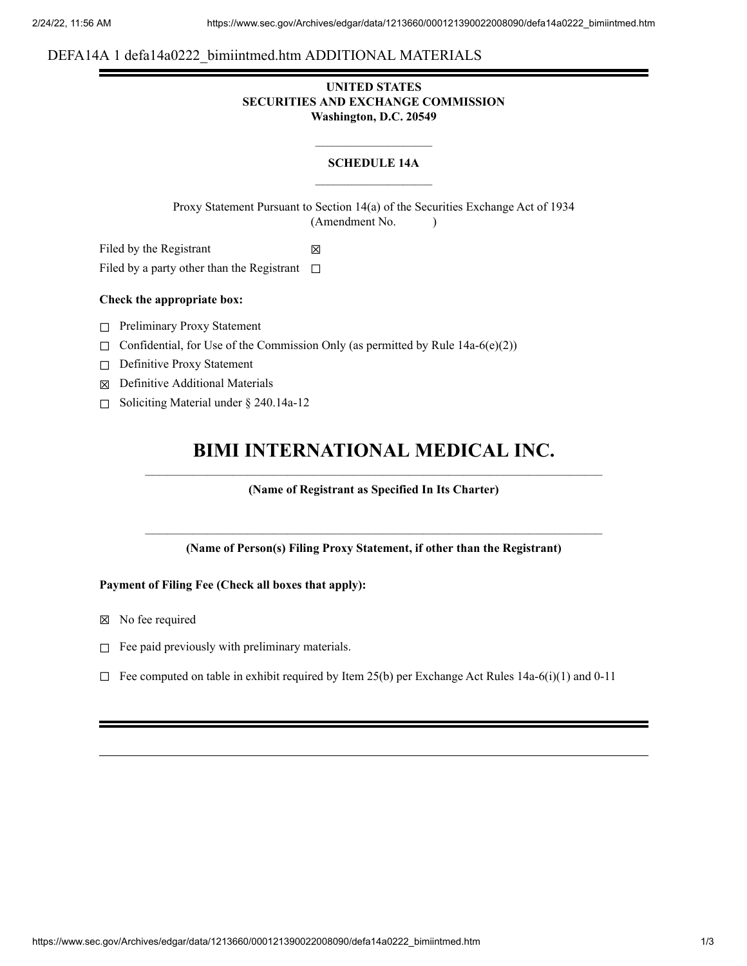# DEFA14A 1 defa14a0222\_bimiintmed.htm ADDITIONAL MATERIALS

## **UNITED STATES SECURITIES AND EXCHANGE COMMISSION Washington, D.C. 20549**

## **SCHEDULE 14A**

Proxy Statement Pursuant to Section 14(a) of the Securities Exchange Act of 1934 (Amendment No. )

Filed by the Registrant  $\boxtimes$ 

Filed by a party other than the Registrant  $□$ 

## **Check the appropriate box:**

- ☐ Preliminary Proxy Statement
- $\Box$  Confidential, for Use of the Commission Only (as permitted by Rule 14a-6(e)(2))
- ☐ Definitive Proxy Statement
- ☒ Definitive Additional Materials
- ☐ Soliciting Material under § 240.14a-12

# **BIMI INTERNATIONAL MEDICAL INC.**

## **(Name of Registrant as Specified In Its Charter)**

**(Name of Person(s) Filing Proxy Statement, if other than the Registrant)**

## **Payment of Filing Fee (Check all boxes that apply):**

- ☒ No fee required
- $\Box$  Fee paid previously with preliminary materials.
- $\Box$  Fee computed on table in exhibit required by Item 25(b) per Exchange Act Rules 14a-6(i)(1) and 0-11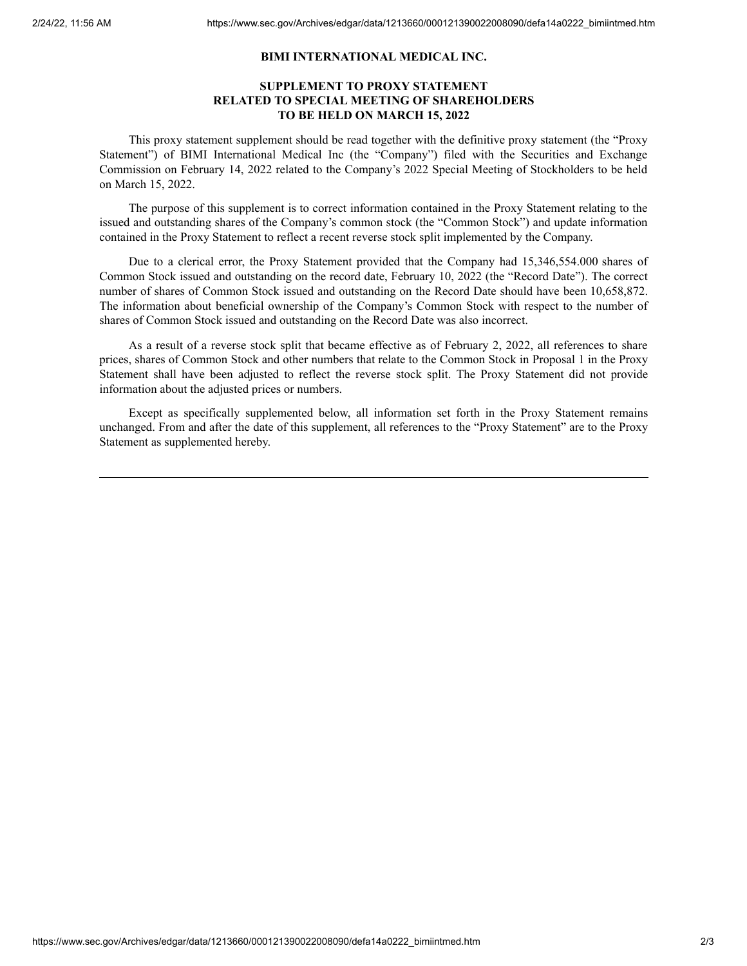#### **BIMI INTERNATIONAL MEDICAL INC.**

## **SUPPLEMENT TO PROXY STATEMENT RELATED TO SPECIAL MEETING OF SHAREHOLDERS TO BE HELD ON MARCH 15, 2022**

This proxy statement supplement should be read together with the definitive proxy statement (the "Proxy Statement") of BIMI International Medical Inc (the "Company") filed with the Securities and Exchange Commission on February 14, 2022 related to the Company's 2022 Special Meeting of Stockholders to be held on March 15, 2022.

The purpose of this supplement is to correct information contained in the Proxy Statement relating to the issued and outstanding shares of the Company's common stock (the "Common Stock") and update information contained in the Proxy Statement to reflect a recent reverse stock split implemented by the Company.

Due to a clerical error, the Proxy Statement provided that the Company had 15,346,554.000 shares of Common Stock issued and outstanding on the record date, February 10, 2022 (the "Record Date"). The correct number of shares of Common Stock issued and outstanding on the Record Date should have been 10,658,872. The information about beneficial ownership of the Company's Common Stock with respect to the number of shares of Common Stock issued and outstanding on the Record Date was also incorrect.

As a result of a reverse stock split that became effective as of February 2, 2022, all references to share prices, shares of Common Stock and other numbers that relate to the Common Stock in Proposal 1 in the Proxy Statement shall have been adjusted to reflect the reverse stock split. The Proxy Statement did not provide information about the adjusted prices or numbers.

Except as specifically supplemented below, all information set forth in the Proxy Statement remains unchanged. From and after the date of this supplement, all references to the "Proxy Statement" are to the Proxy Statement as supplemented hereby.